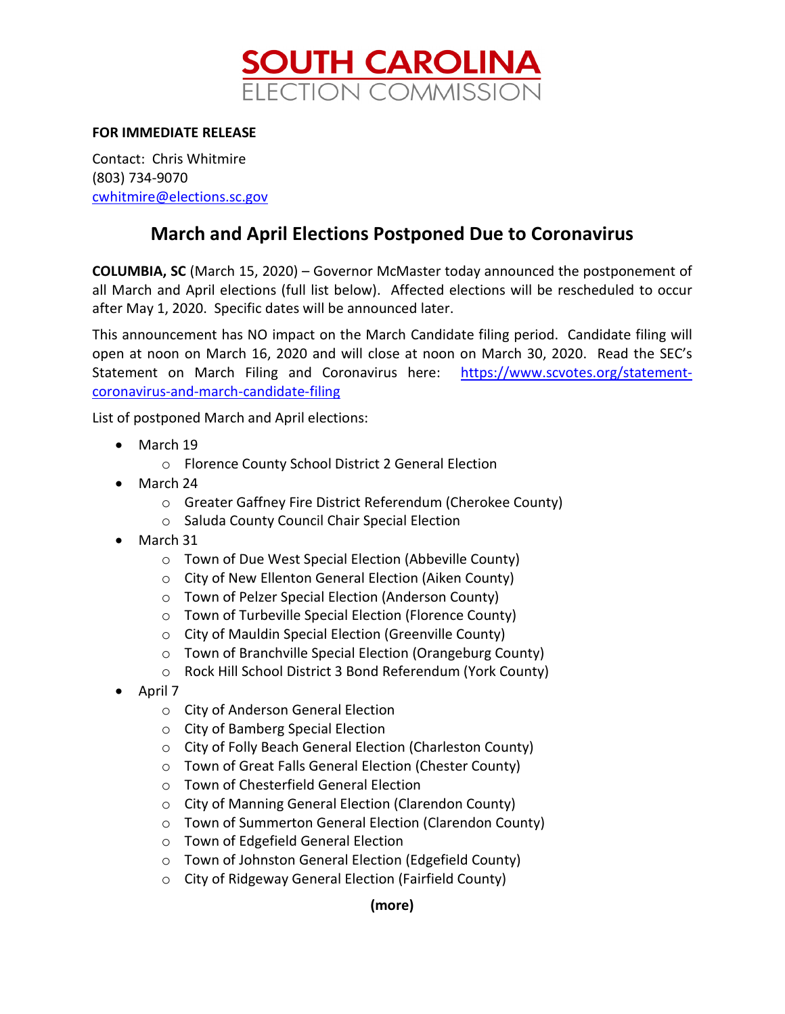

## **FOR IMMEDIATE RELEASE**

Contact: Chris Whitmire (803) 734-9070 [cwhitmire@elections.sc.gov](mailto:cwhitmire@elections.sc.gov)

## **March and April Elections Postponed Due to Coronavirus**

**COLUMBIA, SC** (March 15, 2020) – Governor McMaster today announced the postponement of all March and April elections (full list below). Affected elections will be rescheduled to occur after May 1, 2020. Specific dates will be announced later.

This announcement has NO impact on the March Candidate filing period. Candidate filing will open at noon on March 16, 2020 and will close at noon on March 30, 2020. Read the SEC's Statement on March Filing and Coronavirus here: [https://www.scvotes.org/statement](https://www.scvotes.org/statement-coronavirus-and-march-candidate-filing)[coronavirus-and-march-candidate-filing](https://www.scvotes.org/statement-coronavirus-and-march-candidate-filing)

List of postponed March and April elections:

- March 19
	- o Florence County School District 2 General Election
- March 24
	- o Greater Gaffney Fire District Referendum (Cherokee County)
	- o Saluda County Council Chair Special Election
- March 31
	- o Town of Due West Special Election (Abbeville County)
	- o City of New Ellenton General Election (Aiken County)
	- o Town of Pelzer Special Election (Anderson County)
	- o Town of Turbeville Special Election (Florence County)
	- o City of Mauldin Special Election (Greenville County)
	- o Town of Branchville Special Election (Orangeburg County)
	- o Rock Hill School District 3 Bond Referendum (York County)
- April 7
	- o City of Anderson General Election
	- o City of Bamberg Special Election
	- o City of Folly Beach General Election (Charleston County)
	- o Town of Great Falls General Election (Chester County)
	- o Town of Chesterfield General Election
	- o City of Manning General Election (Clarendon County)
	- o Town of Summerton General Election (Clarendon County)
	- o Town of Edgefield General Election
	- o Town of Johnston General Election (Edgefield County)
	- o City of Ridgeway General Election (Fairfield County)

## **(more)**